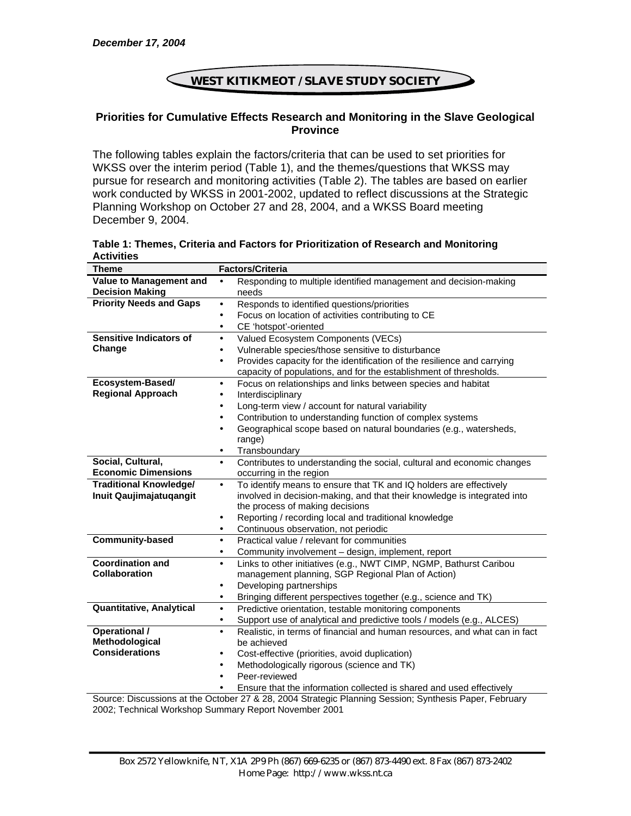## **WEST KITIKMEOT / SLAVE STUDY SOCIETY**  1

## **Priorities for Cumulative Effects Research and Monitoring in the Slave Geological Province**

The following tables explain the factors/criteria that can be used to set priorities for WKSS over the interim period (Table 1), and the themes/questions that WKSS may pursue for research and monitoring activities (Table 2). The tables are based on earlier work conducted by WKSS in 2001-2002, updated to reflect discussions at the Strategic Planning Workshop on October 27 and 28, 2004, and a WKSS Board meeting December 9, 2004.

**Table 1: Themes, Criteria and Factors for Prioritization of Research and Monitoring Activities** 

| <b>Theme</b>                   | <b>Factors/Criteria</b>                                                                                |  |  |
|--------------------------------|--------------------------------------------------------------------------------------------------------|--|--|
| Value to Management and        | Responding to multiple identified management and decision-making<br>$\bullet$                          |  |  |
| <b>Decision Making</b>         | needs                                                                                                  |  |  |
| <b>Priority Needs and Gaps</b> | Responds to identified questions/priorities<br>$\bullet$                                               |  |  |
|                                | Focus on location of activities contributing to CE<br>٠                                                |  |  |
|                                | CE 'hotspot'-oriented<br>$\bullet$                                                                     |  |  |
| <b>Sensitive Indicators of</b> | Valued Ecosystem Components (VECs)<br>$\bullet$                                                        |  |  |
| Change                         | Vulnerable species/those sensitive to disturbance<br>$\bullet$                                         |  |  |
|                                | Provides capacity for the identification of the resilience and carrying<br>$\bullet$                   |  |  |
|                                | capacity of populations, and for the establishment of thresholds.                                      |  |  |
| Ecosystem-Based/               | Focus on relationships and links between species and habitat                                           |  |  |
| <b>Regional Approach</b>       | Interdisciplinary                                                                                      |  |  |
|                                | Long-term view / account for natural variability<br>$\bullet$                                          |  |  |
|                                | Contribution to understanding function of complex systems<br>$\bullet$                                 |  |  |
|                                | Geographical scope based on natural boundaries (e.g., watersheds,<br>$\bullet$                         |  |  |
|                                | range)                                                                                                 |  |  |
|                                | Transboundary<br>$\bullet$                                                                             |  |  |
| Social, Cultural,              | Contributes to understanding the social, cultural and economic changes<br>$\bullet$                    |  |  |
| <b>Economic Dimensions</b>     | occurring in the region                                                                                |  |  |
| <b>Traditional Knowledge/</b>  | To identify means to ensure that TK and IQ holders are effectively<br>$\bullet$                        |  |  |
| Inuit Qaujimajatuqangit        | involved in decision-making, and that their knowledge is integrated into                               |  |  |
|                                | the process of making decisions                                                                        |  |  |
|                                | Reporting / recording local and traditional knowledge<br>$\bullet$                                     |  |  |
|                                | Continuous observation, not periodic<br>$\bullet$                                                      |  |  |
| <b>Community-based</b>         | Practical value / relevant for communities<br>$\bullet$                                                |  |  |
|                                | Community involvement - design, implement, report<br>$\bullet$                                         |  |  |
| <b>Coordination and</b>        | Links to other initiatives (e.g., NWT CIMP, NGMP, Bathurst Caribou<br>$\bullet$                        |  |  |
| <b>Collaboration</b>           | management planning, SGP Regional Plan of Action)                                                      |  |  |
|                                | Developing partnerships<br>$\bullet$                                                                   |  |  |
|                                | Bringing different perspectives together (e.g., science and TK)<br>$\bullet$                           |  |  |
| Quantitative, Analytical       | Predictive orientation, testable monitoring components<br>$\bullet$                                    |  |  |
|                                | Support use of analytical and predictive tools / models (e.g., ALCES)<br>$\bullet$                     |  |  |
| <b>Operational /</b>           | Realistic, in terms of financial and human resources, and what can in fact<br>$\bullet$                |  |  |
| Methodological                 | be achieved                                                                                            |  |  |
| <b>Considerations</b>          | Cost-effective (priorities, avoid duplication)                                                         |  |  |
|                                | Methodologically rigorous (science and TK)<br>$\bullet$                                                |  |  |
|                                | Peer-reviewed                                                                                          |  |  |
|                                | Ensure that the information collected is shared and used effectively                                   |  |  |
|                                | Source: Discussions at the October 27 & 28, 2004 Strategic Planning Session: Synthesis Paper, February |  |  |

Source: Discussions at the October 27 & 28, 2004 Strategic Planning Session; Synthesis Paper, February 2002; Technical Workshop Summary Report November 2001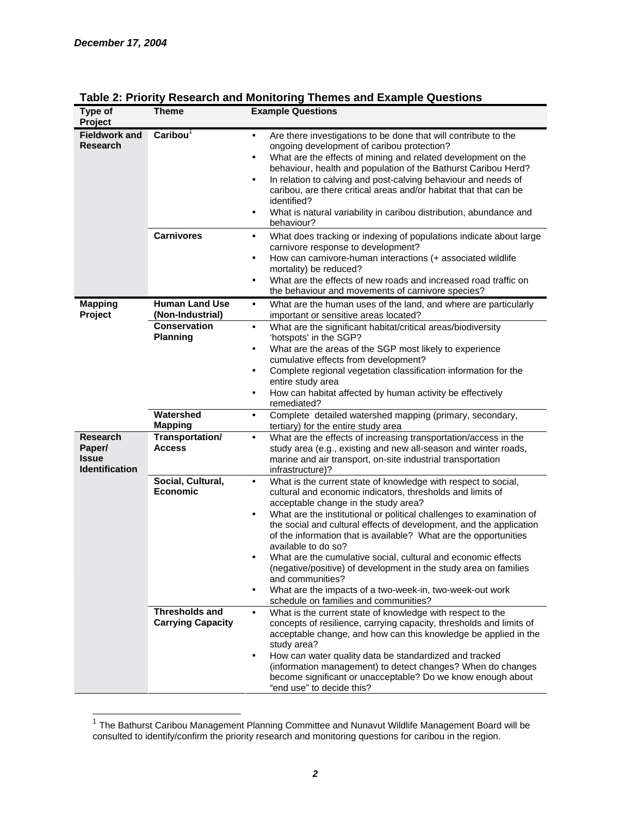| Type of<br>Project                                          | Theme                                             | <b>Example Questions</b>                                                                                                                                                                                                                                                                                                                                                                                                                                                                                                                                                                                                                                                                                            |  |  |
|-------------------------------------------------------------|---------------------------------------------------|---------------------------------------------------------------------------------------------------------------------------------------------------------------------------------------------------------------------------------------------------------------------------------------------------------------------------------------------------------------------------------------------------------------------------------------------------------------------------------------------------------------------------------------------------------------------------------------------------------------------------------------------------------------------------------------------------------------------|--|--|
| <b>Fieldwork and</b><br><b>Research</b>                     | $\overline{\text{Caribou}}^1$                     | Are there investigations to be done that will contribute to the<br>$\bullet$<br>ongoing development of caribou protection?<br>What are the effects of mining and related development on the<br>٠<br>behaviour, health and population of the Bathurst Caribou Herd?<br>In relation to calving and post-calving behaviour and needs of<br>٠<br>caribou, are there critical areas and/or habitat that that can be<br>identified?<br>What is natural variability in caribou distribution, abundance and<br>behaviour?                                                                                                                                                                                                   |  |  |
|                                                             | <b>Carnivores</b>                                 | What does tracking or indexing of populations indicate about large<br>$\bullet$<br>carnivore response to development?<br>How can carnivore-human interactions (+ associated wildlife<br>$\bullet$<br>mortality) be reduced?<br>What are the effects of new roads and increased road traffic on<br>$\bullet$<br>the behaviour and movements of carnivore species?                                                                                                                                                                                                                                                                                                                                                    |  |  |
| <b>Mapping</b><br>Project                                   | <b>Human Land Use</b><br>(Non-Industrial)         | What are the human uses of the land, and where are particularly<br>$\bullet$<br>important or sensitive areas located?                                                                                                                                                                                                                                                                                                                                                                                                                                                                                                                                                                                               |  |  |
|                                                             | <b>Conservation</b><br><b>Planning</b>            | What are the significant habitat/critical areas/biodiversity<br>$\bullet$<br>'hotspots' in the SGP?<br>What are the areas of the SGP most likely to experience<br>$\bullet$<br>cumulative effects from development?<br>Complete regional vegetation classification information for the<br>٠<br>entire study area<br>How can habitat affected by human activity be effectively<br>٠<br>remediated?                                                                                                                                                                                                                                                                                                                   |  |  |
|                                                             | Watershed<br><b>Mapping</b>                       | Complete detailed watershed mapping (primary, secondary,<br>$\bullet$<br>tertiary) for the entire study area                                                                                                                                                                                                                                                                                                                                                                                                                                                                                                                                                                                                        |  |  |
| <b>Research</b><br>Paper/<br><b>Issue</b><br>Identification | Transportation/<br><b>Access</b>                  | What are the effects of increasing transportation/access in the<br>$\bullet$<br>study area (e.g., existing and new all-season and winter roads,<br>marine and air transport, on-site industrial transportation<br>infrastructure)?                                                                                                                                                                                                                                                                                                                                                                                                                                                                                  |  |  |
|                                                             | Social, Cultural,<br><b>Economic</b>              | What is the current state of knowledge with respect to social,<br>$\bullet$<br>cultural and economic indicators, thresholds and limits of<br>acceptable change in the study area?<br>What are the institutional or political challenges to examination of<br>$\bullet$<br>the social and cultural effects of development, and the application<br>of the information that is available? What are the opportunities<br>available to do so?<br>What are the cumulative social, cultural and economic effects<br>(negative/positive) of development in the study area on families<br>and communities?<br>What are the impacts of a two-week-in, two-week-out work<br>$\bullet$<br>schedule on families and communities? |  |  |
|                                                             | <b>Thresholds and</b><br><b>Carrying Capacity</b> | What is the current state of knowledge with respect to the<br>$\bullet$<br>concepts of resilience, carrying capacity, thresholds and limits of<br>acceptable change, and how can this knowledge be applied in the<br>study area?<br>How can water quality data be standardized and tracked<br>٠<br>(information management) to detect changes? When do changes<br>become significant or unacceptable? Do we know enough about<br>"end use" to decide this?                                                                                                                                                                                                                                                          |  |  |

## **Table 2: Priority Research and Monitoring Themes and Example Questions**

 $1$  The Bathurst Caribou Management Planning Committee and Nunavut Wildlife Management Board will be consulted to identify/confirm the priority research and monitoring questions for caribou in the region.